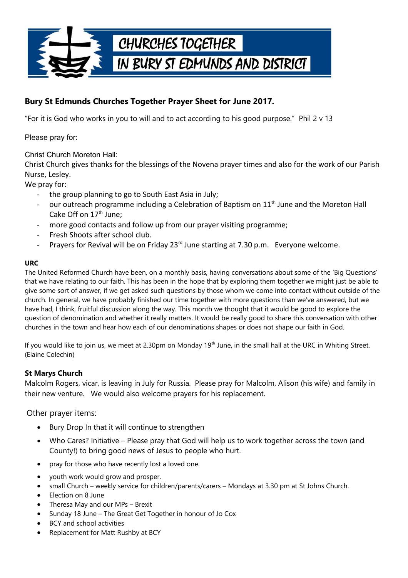

## **Bury St Edmunds Churches Together Prayer Sheet for June 2017.**

"For it is God who works in you to will and to act according to his good purpose." Phil 2 v 13

Please pray for:

Christ Church Moreton Hall:

Christ Church gives thanks for the blessings of the Novena prayer times and also for the work of our Parish Nurse, Lesley.

We pray for:

- the group planning to go to South East Asia in July;
- our outreach programme including a Celebration of Baptism on 11<sup>th</sup> June and the Moreton Hall Cake Off on  $17<sup>th</sup>$  June:
- more good contacts and follow up from our prayer visiting programme;
- Fresh Shoots after school club.
- Prayers for Revival will be on Friday 23<sup>rd</sup> June starting at 7.30 p.m. Everyone welcome.

## **URC**

The United Reformed Church have been, on a monthly basis, having conversations about some of the 'Big Questions' that we have relating to our faith. This has been in the hope that by exploring them together we might just be able to give some sort of answer, if we get asked such questions by those whom we come into contact without outside of the church. In general, we have probably finished our time together with more questions than we've answered, but we have had, I think, fruitful discussion along the way. This month we thought that it would be good to explore the question of denomination and whether it really matters. It would be really good to share this conversation with other churches in the town and hear how each of our denominations shapes or does not shape our faith in God.

If you would like to join us, we meet at 2.30pm on Monday 19<sup>th</sup> June, in the small hall at the URC in Whiting Street. (Elaine Colechin)

## **St Marys Church**

Malcolm Rogers, vicar, is leaving in July for Russia. Please pray for Malcolm, Alison (his wife) and family in their new venture. We would also welcome prayers for his replacement.

Other prayer items:

- Bury Drop In that it will continue to strengthen
- Who Cares? Initiative Please pray that God will help us to work together across the town (and County!) to bring good news of Jesus to people who hurt.
- pray for those who have recently lost a loved one.
- youth work would grow and prosper.
- small Church weekly service for children/parents/carers Mondays at 3.30 pm at St Johns Church.
- Election on 8 June
- Theresa May and our MPs Brexit
- Sunday 18 June The Great Get Together in honour of Jo Cox
- BCY and school activities
- Replacement for Matt Rushby at BCY